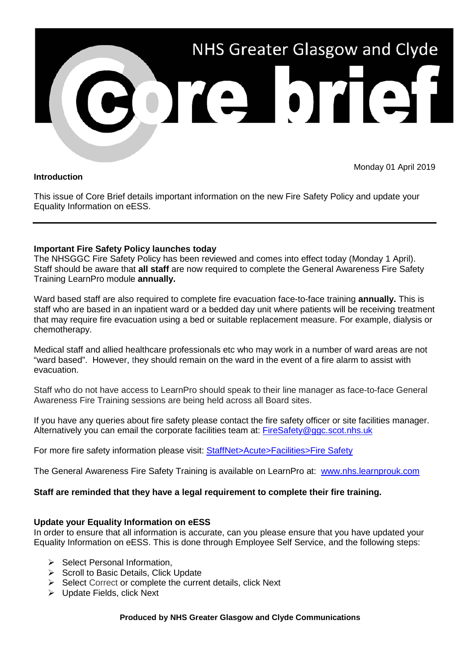

### **Introduction**

Monday 01 April 2019

This issue of Core Brief details important information on the new Fire Safety Policy and update your Equality Information on eESS.

## **Important Fire Safety Policy launches today**

The NHSGGC Fire Safety Policy has been reviewed and comes into effect today (Monday 1 April). Staff should be aware that **all staff** are now required to complete the General Awareness Fire Safety Training LearnPro module **annually.** 

Ward based staff are also required to complete fire evacuation face-to-face training **annually.** This is staff who are based in an inpatient ward or a bedded day unit where patients will be receiving treatment that may require fire evacuation using a bed or suitable replacement measure. For example, dialysis or chemotherapy.

Medical staff and allied healthcare professionals etc who may work in a number of ward areas are not "ward based". However, they should remain on the ward in the event of a fire alarm to assist with evacuation.

Staff who do not have access to LearnPro should speak to their line manager as face-to-face General Awareness Fire Training sessions are being held across all Board sites.

If you have any queries about fire safety please contact the fire safety officer or site facilities manager. Alternatively you can email the corporate facilities team at: [FireSafety@ggc.scot.nhs.uk](mailto:FireSafety@ggc.scot.nhs.uk)

For more fire safety information please visit: [StaffNet>Acute>Facilities>Fire Safety](http://www.staffnet.ggc.scot.nhs.uk/Acute/Facilities/Fire%20Safety/Pages/FSH.aspx)

The General Awareness Fire Safety Training is available on LearnPro at: [www.nhs.learnprouk.com](http://www.nhs.learnprouk.com/)

## **Staff are reminded that they have a legal requirement to complete their fire training.**

## **Update your Equality Information on eESS**

In order to ensure that all information is accurate, can you please ensure that you have updated your Equality Information on eESS. This is done through Employee Self Service, and the following steps:

- $\triangleright$  Select Personal Information.
- $\triangleright$  Scroll to Basic Details, Click Update
- $\triangleright$  Select Correct or complete the current details, click Next
- $\triangleright$  Update Fields, click Next

**Produced by NHS Greater Glasgow and Clyde Communications**